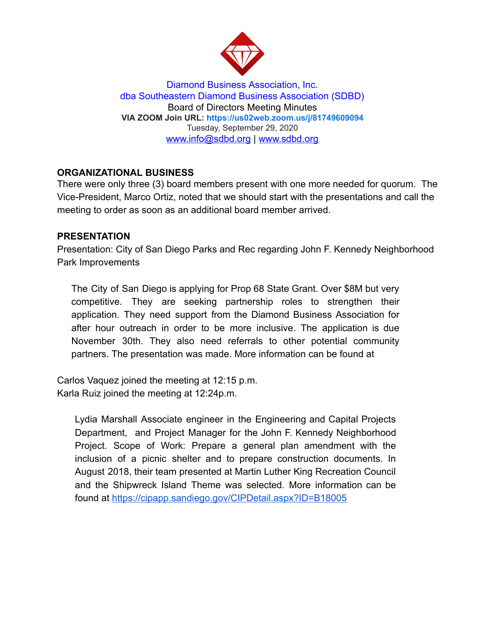

Diamond Business Association, Inc. dba Southeastern Diamond Business Association (SDBD) Board of Directors Meeting Minutes **VIA ZOOM Join URL:<https://us02web.zoom.us/j/81749609094>** Tuesday, September 29, 2020 www.info@sdbd.org | [www.sdbd.org](http://www.sdbd.org/)

# **ORGANIZATIONAL BUSINESS**

There were only three (3) board members present with one more needed for quorum. The Vice-President, Marco Ortiz, noted that we should start with the presentations and call the meeting to order as soon as an additional board member arrived.

#### **PRESENTATION**

Presentation: City of San Diego Parks and Rec regarding John F. Kennedy Neighborhood Park Improvements

The City of San Diego is applying for Prop 68 State Grant. Over \$8M but very competitive. They are seeking partnership roles to strengthen their application. They need support from the Diamond Business Association for after hour outreach in order to be more inclusive. The application is due November 30th. They also need referrals to other potential community partners. The presentation was made. More information can be found at

Carlos Vaquez joined the meeting at 12:15 p.m. Karla Ruiz joined the meeting at 12:24p.m.

Lydia Marshall Associate engineer in the Engineering and Capital Projects Department, and Project Manager for the John F. Kennedy Neighborhood Project. Scope of Work: Prepare a general plan amendment with the inclusion of a picnic shelter and to prepare construction documents. In August 2018, their team presented at Martin Luther King Recreation Council and the Shipwreck Island Theme was selected. More information can be found at<https://cipapp.sandiego.gov/CIPDetail.aspx?ID=B18005>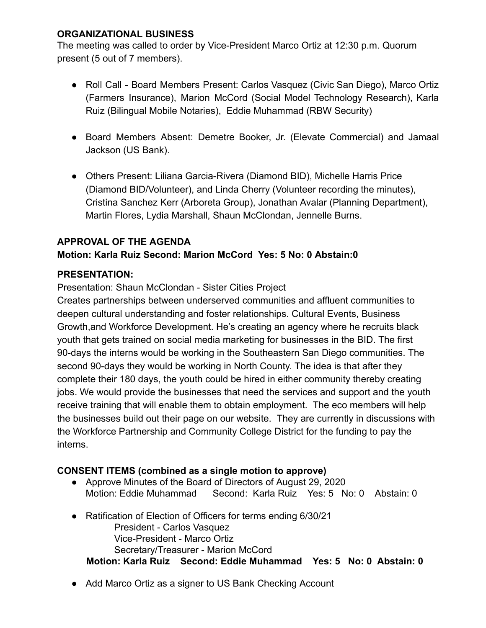## **ORGANIZATIONAL BUSINESS**

The meeting was called to order by Vice-President Marco Ortiz at 12:30 p.m. Quorum present (5 out of 7 members).

- Roll Call Board Members Present: Carlos Vasquez (Civic San Diego), Marco Ortiz (Farmers Insurance), Marion McCord (Social Model Technology Research), Karla Ruiz (Bilingual Mobile Notaries), Eddie Muhammad (RBW Security)
- Board Members Absent: Demetre Booker, Jr. (Elevate Commercial) and Jamaal Jackson (US Bank).
- Others Present: Liliana Garcia-Rivera (Diamond BID), Michelle Harris Price (Diamond BID/Volunteer), and Linda Cherry (Volunteer recording the minutes), Cristina Sanchez Kerr (Arboreta Group), Jonathan Avalar (Planning Department), Martin Flores, Lydia Marshall, Shaun McClondan, Jennelle Burns.

# **APPROVAL OF THE AGENDA**

# **Motion: Karla Ruiz Second: Marion McCord Yes: 5 No: 0 Abstain:0**

# **PRESENTATION:**

Presentation: Shaun McClondan - Sister Cities Project

Creates partnerships between underserved communities and affluent communities to deepen cultural understanding and foster relationships. Cultural Events, Business Growth,and Workforce Development. He's creating an agency where he recruits black youth that gets trained on social media marketing for businesses in the BID. The first 90-days the interns would be working in the Southeastern San Diego communities. The second 90-days they would be working in North County. The idea is that after they complete their 180 days, the youth could be hired in either community thereby creating jobs. We would provide the businesses that need the services and support and the youth receive training that will enable them to obtain employment. The eco members will help the businesses build out their page on our website. They are currently in discussions with the Workforce Partnership and Community College District for the funding to pay the interns.

## **CONSENT ITEMS (combined as a single motion to approve)**

- Approve Minutes of the Board of Directors of August 29, 2020 Motion: Eddie Muhammad Second: Karla Ruiz Yes: 5 No: 0 Abstain: 0
- Ratification of Election of Officers for terms ending 6/30/21 President - Carlos Vasquez Vice-President - Marco Ortiz Secretary/Treasurer - Marion McCord **Motion: Karla Ruiz Second: Eddie Muhammad Yes: 5 No: 0 Abstain: 0**
- Add Marco Ortiz as a signer to US Bank Checking Account